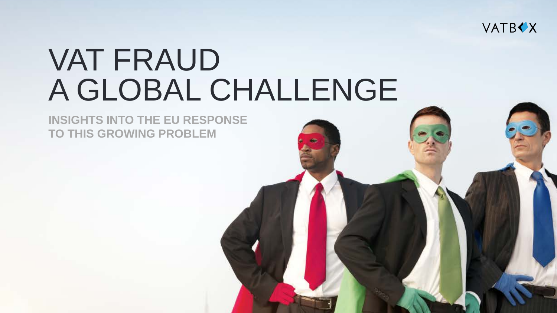

# VAT FRAUD A GLOBAL CHALLENGE

**INSIGHTS INTO THE EU RESPONSE TO THIS GROWING PROBLEM**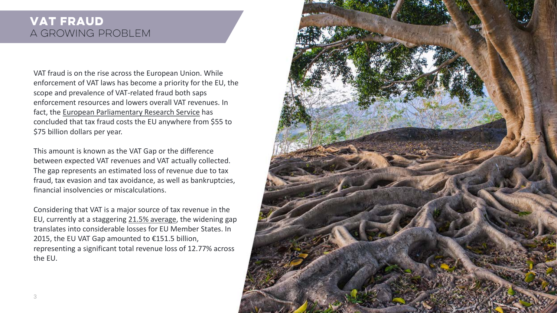# **VAT FRAUD** A GROWING PROBLEM

VAT fraud is on the rise across the European Union. While enforcement of VAT laws has become a priority for the EU, the scope and prevalence of VAT-related fraud both saps enforcement resources and lowers overall VAT revenues. In fact, the [European Parliamentary Research Service](http://www.europarl.europa.eu/RegData/etudes/STUD/2015/558773/EPRS_STU(2015)558773_EN.pdf) has concluded that tax fraud costs the EU anywhere from \$55 to \$75 billion dollars per year.

This amount is known as the VAT Gap or the difference between expected VAT revenues and VAT actually collected. The gap represents an estimated loss of revenue due to tax fraud, tax evasion and tax avoidance, as well as bankruptcies, financial insolvencies or miscalculations.

Considering that VAT is a major source of tax revenue in the EU, currently at a staggering [21.5% average,](https://ec.europa.eu/taxation_customs/sites/taxation/files/resources/documents/taxation/vat/how_vat_works/rates/vat_rates_en.pdf) the widening gap translates into considerable losses for EU Member States. In 2015, the EU VAT Gap amounted to €151.5 billion, representing a significant total revenue loss of 12.77% across the EU.

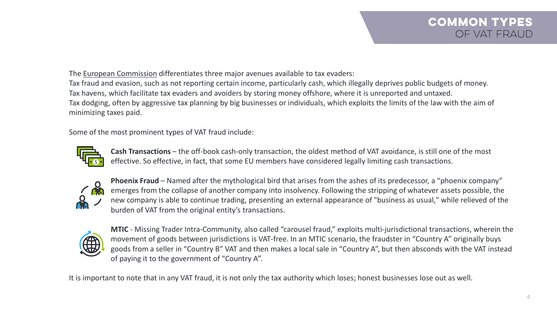The [European Commission](http://www.ec.europa.eu/) differentiates three major avenues available to tax evaders: Tax fraud and evasion, such as not reporting certain income, particularly cash, which illegally deprives public budgets of money. Tax havens, which facilitate tax evaders and avoiders by storing money offshore, where it is unreported and untaxed. Tax dodging, often by aggressive tax planning by big businesses or individuals, which exploits the limits of the law with the aim of minimizing taxes paid.

Some of the most prominent types of VAT fraud include:



**Cash Transactions** – the off-book cash-only transaction, the oldest method of VAT avoidance, is still one of the most effective. So effective, in fact, that some EU members have considered legally limiting cash transactions.



**Phoenix Fraud** – Named after the mythological bird that arises from the ashes of its predecessor, a "phoenix company" emerges from the collapse of another company into insolvency. Following the stripping of whatever assets possible, the new company is able to continue trading, presenting an external appearance of "business as usual," while relieved of the burden of VAT from the original entity's transactions.



**MTIC** - Missing Trader Intra-Community, also called "carousel fraud," exploits multi-jurisdictional transactions, wherein the movement of goods between jurisdictions is VAT-free. In an MTIC scenario, the fraudster in "Country A" originally buys goods from a seller in "Country B" VAT and then makes a local sale in "Country A", but then absconds with the VAT instead of paying it to the government of "Country A".

It is important to note that in any VAT fraud, it is not only the tax authority which loses; honest businesses lose out as well.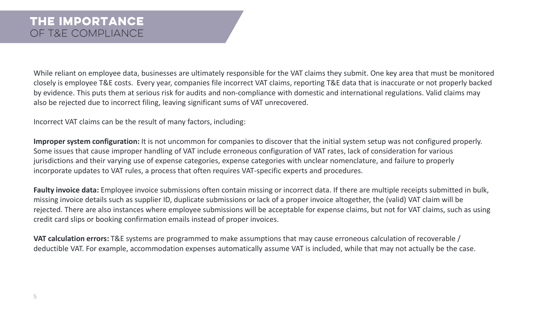While reliant on employee data, businesses are ultimately responsible for the VAT claims they submit. One key area that must be monitored closely is employee T&E costs. Every year, companies file incorrect VAT claims, reporting T&E data that is inaccurate or not properly backed by evidence. This puts them at serious risk for audits and non-compliance with domestic and international regulations. Valid claims may also be rejected due to incorrect filing, leaving significant sums of VAT unrecovered.

Incorrect VAT claims can be the result of many factors, including:

**Improper system configuration:** It is not uncommon for companies to discover that the initial system setup was not configured properly. Some issues that cause improper handling of VAT include erroneous configuration of VAT rates, lack of consideration for various jurisdictions and their varying use of expense categories, expense categories with unclear nomenclature, and failure to properly incorporate updates to VAT rules, a process that often requires VAT-specific experts and procedures.

**Faulty invoice data:** Employee invoice submissions often contain missing or incorrect data. If there are multiple receipts submitted in bulk, missing invoice details such as supplier ID, duplicate submissions or lack of a proper invoice altogether, the (valid) VAT claim will be rejected. There are also instances where employee submissions will be acceptable for expense claims, but not for VAT claims, such as using credit card slips or booking confirmation emails instead of proper invoices.

**VAT calculation errors:** T&E systems are programmed to make assumptions that may cause erroneous calculation of recoverable / deductible VAT. For example, accommodation expenses automatically assume VAT is included, while that may not actually be the case.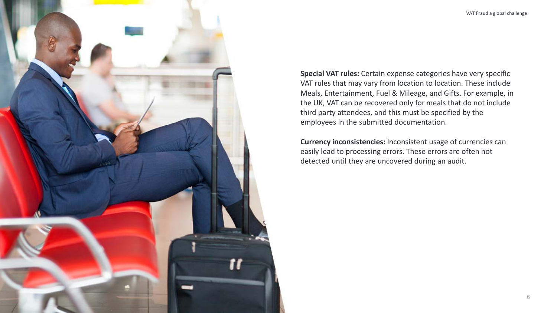

**Special VAT rules:** Certain expense categories have very specific VAT rules that may vary from location to location. These include Meals, Entertainment, Fuel & Mileage, and Gifts. For example, in the UK, VAT can be recovered only for meals that do not include third party attendees, and this must be specified by the employees in the submitted documentation.

**Currency inconsistencies:** Inconsistent usage of currencies can easily lead to processing errors. These errors are often not detected until they are uncovered during an audit.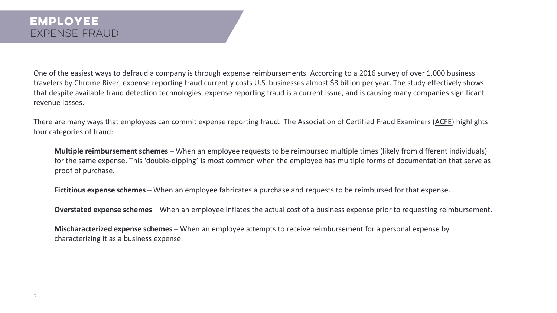One of the easiest ways to defraud a company is through expense reimbursements. According to a 2016 survey of over 1,000 business travelers by Chrome River, expense reporting fraud currently costs U.S. businesses almost \$3 billion per year. The study effectively shows that despite available fraud detection technologies, expense reporting fraud is a current issue, and is causing many companies significant revenue losses.

There are many ways that employees can commit expense reporting fraud. The Association of Certified Fraud Examiners ([ACFE\)](http://www.acfe.com/) highlights four categories of fraud:

**Multiple reimbursement schemes** – When an employee requests to be reimbursed multiple times (likely from different individuals) for the same expense. This 'double-dipping' is most common when the employee has multiple forms of documentation that serve as proof of purchase.

**Fictitious expense schemes** – When an employee fabricates a purchase and requests to be reimbursed for that expense.

**Overstated expense schemes** – When an employee inflates the actual cost of a business expense prior to requesting reimbursement.

**Mischaracterized expense schemes** – When an employee attempts to receive reimbursement for a personal expense by characterizing it as a business expense.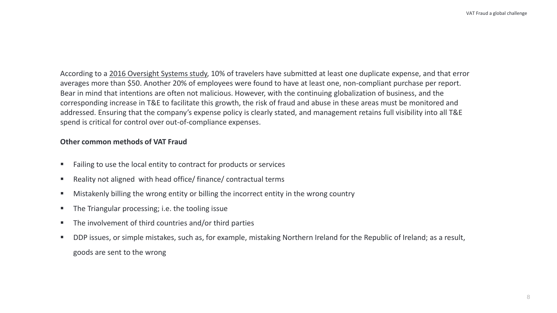According to a [2016 Oversight Systems study,](https://info.oversightsystems.com/spend-analysis-report-vol-3) 10% of travelers have submitted at least one duplicate expense, and that error averages more than \$50. Another 20% of employees were found to have at least one, non-compliant purchase per report. Bear in mind that intentions are often not malicious. However, with the continuing globalization of business, and the corresponding increase in T&E to facilitate this growth, the risk of fraud and abuse in these areas must be monitored and addressed. Ensuring that the company's expense policy is clearly stated, and management retains full visibility into all T&E spend is critical for control over out-of-compliance expenses.

#### **Other common methods of VAT Fraud**

- Failing to use the local entity to contract for products or services
- Reality not aligned with head office/ finance/ contractual terms
- Mistakenly billing the wrong entity or billing the incorrect entity in the wrong country
- The Triangular processing; i.e. the tooling issue
- The involvement of third countries and/or third parties
- DDP issues, or simple mistakes, such as, for example, mistaking Northern Ireland for the Republic of Ireland; as a result, goods are sent to the wrong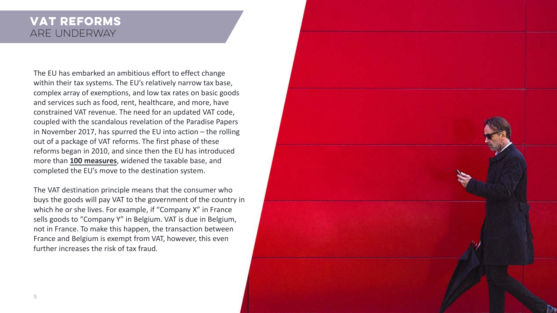# **Vat reforms** Are underway

The EU has embarked an ambitious effort to effect change within their tax systems. The EU's relatively narrow tax base, complex array of exemptions, and low tax rates on basic goods and services such as food, rent, healthcare, and more, have constrained VAT revenue. The need for an updated VAT code, coupled with the scandalous revelation of the Paradise Papers in November 2017, has spurred the EU into action – the rolling out of a package of VAT reforms. The first phase of these reforms began in 2010, and since then the EU has introduced more than **[100 measures](https://www.gov.uk/government/uploads/system/uploads/attachment_data/file/661531/tackling_tax_avoidance_evasion_and_non-compliance.pdf)**, widened the taxable base, and completed the EU's move to the destination system.

The VAT destination principle means that the consumer who buys the goods will pay VAT to the government of the country in which he or she lives. For example, if "Company X" in France sells goods to "Company Y" in Belgium. VAT is due in Belgium, not in France. To make this happen, the transaction between France and Belgium is exempt from VAT, however, this even further increases the risk of tax fraud.

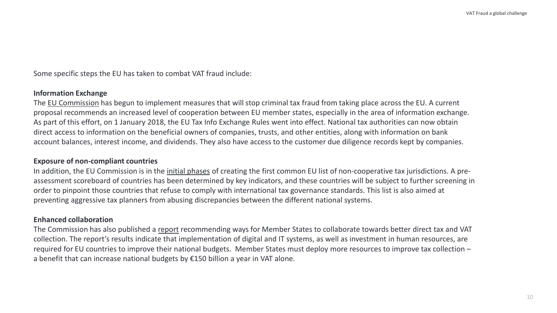Some specific steps the EU has taken to combat VAT fraud include:

#### **Information Exchange**

The [EU Commission](http://www.ec.europa.eu/) has begun to implement measures that will stop criminal tax fraud from taking place across the EU. A current proposal recommends an increased level of cooperation between EU member states, especially in the area of information exchange. As part of this effort, on 1 January 2018, the EU Tax Info Exchange Rules went into effect. National tax authorities can now obtain direct access to information on the beneficial owners of companies, trusts, and other entities, along with information on bank account balances, interest income, and dividends. They also have access to the customer due diligence records kept by companies.

#### **Exposure of non-compliant countries**

In addition, the EU Commission is in the [initial phases](http://www.europarl.europa.eu/news/en/press-room/20160701IPR34487/meps-call-for-tax-haven-blacklist-patent-box-rules-ccctb-and-more) of creating the first common EU list of non-cooperative tax jurisdictions. A preassessment scoreboard of countries has been determined by key indicators, and these countries will be subject to further screening in order to pinpoint those countries that refuse to comply with international tax governance standards. This list is also aimed at preventing aggressive tax planners from abusing discrepancies between the different national systems.

#### **Enhanced collaboration**

The Commission has also published a [report](https://ec.europa.eu/commission/news/tax-and-vat-collection-eu-2017-dec-18_en) recommending ways for Member States to collaborate towards better direct tax and VAT collection. The report's results indicate that implementation of digital and IT systems, as well as investment in human resources, are required for EU countries to improve their national budgets. Member States must deploy more resources to improve tax collection – a benefit that can increase national budgets by €150 billion a year in VAT alone.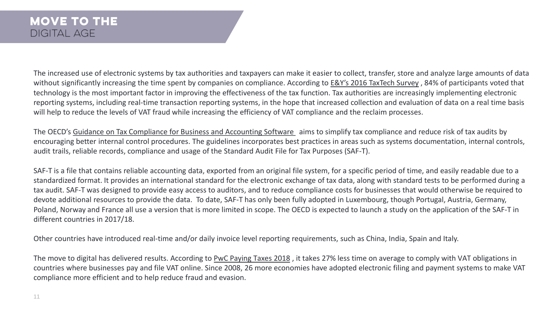The increased use of electronic systems by tax authorities and taxpayers can make it easier to collect, transfer, store and analyze large amounts of data without significantly increasing the time spent by companies on compliance. According to E&Y's 2016 TaxTech Survey , 84% of participants voted that technology is the most important factor in improving the effectiveness of the tax function. Tax authorities are increasingly implementing electronic reporting systems, including real-time transaction reporting systems, in the hope that increased collection and evaluation of data on a real time basis will help to reduce the levels of VAT fraud while increasing the efficiency of VAT compliance and the reclaim processes.

The OECD's [Guidance on Tax Compliance for Business and Accounting Software](http://www.oecd.org/tax/forum-on-tax-administration/publications-and-products/technologies/45045404.pdf) aims to simplify tax compliance and reduce risk of tax audits by encouraging better internal control procedures. The guidelines incorporates best practices in areas such as systems documentation, internal controls, audit trails, reliable records, compliance and usage of the Standard Audit File for Tax Purposes (SAF-T).

SAF-T is a file that contains reliable accounting data, exported from an original file system, for a specific period of time, and easily readable due to a standardized format. It provides an international standard for the electronic exchange of tax data, along with standard tests to be performed during a tax audit. SAF-T was designed to provide easy access to auditors, and to reduce compliance costs for businesses that would otherwise be required to devote additional resources to provide the data. To date, SAF-T has only been fully adopted in Luxembourg, though Portugal, Austria, Germany, Poland, Norway and France all use a version that is more limited in scope. The OECD is expected to launch a study on the application of the SAF-T in different countries in 2017/18.

Other countries have introduced real-time and/or daily invoice level reporting requirements, such as China, India, Spain and Italy.

The move to digital has delivered results. According to [PwC Paying](https://www.pwc.com/gx/en/paying-taxes/pdf/pwc_paying_taxes_2018_full_report.pdf) Taxes 2018 , it takes 27% less time on average to comply with VAT obligations in countries where businesses pay and file VAT online. Since 2008, 26 more economies have adopted electronic filing and payment systems to make VAT compliance more efficient and to help reduce fraud and evasion.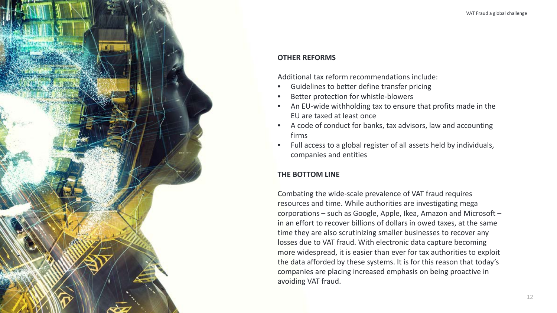#### **OTHER REFORMS**

Additional tax reform recommendations include:

- Guidelines to better define transfer pricing
- Better protection for whistle-blowers
- An EU-wide withholding tax to ensure that profits made in the EU are taxed at least once
- A code of conduct for banks, tax advisors, law and accounting firms
- Full access to a global register of all assets held by individuals, companies and entities

# **THE BOTTOM LINE**

Combating the wide-scale prevalence of VAT fraud requires resources and time. While authorities are investigating mega corporations – such as Google, Apple, Ikea, Amazon and Microsoft – in an effort to recover billions of dollars in owed taxes, at the same time they are also scrutinizing smaller businesses to recover any losses due to VAT fraud. With electronic data capture becoming more widespread, it is easier than ever for tax authorities to exploit the data afforded by these systems. It is for this reason that today's companies are placing increased emphasis on being proactive in avoiding VAT fraud.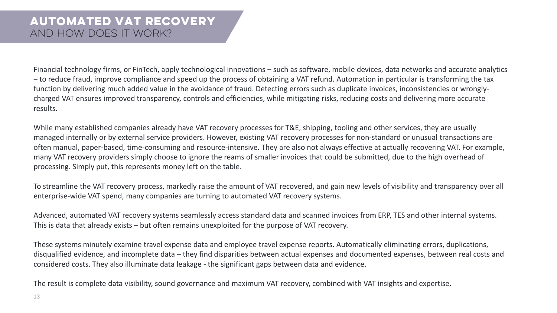Financial technology firms, or FinTech, apply technological innovations – such as software, mobile devices, data networks and accurate analytics ‒ to reduce fraud, improve compliance and speed up the process of obtaining a VAT refund. Automation in particular is transforming the tax function by delivering much added value in the avoidance of fraud. Detecting errors such as duplicate invoices, inconsistencies or wronglycharged VAT ensures improved transparency, controls and efficiencies, while mitigating risks, reducing costs and delivering more accurate results.

While many established companies already have VAT recovery processes for T&E, shipping, tooling and other services, they are usually managed internally or by external service providers. However, existing VAT recovery processes for non-standard or unusual transactions are often manual, paper-based, time-consuming and resource-intensive. They are also not always effective at actually recovering VAT. For example, many VAT recovery providers simply choose to ignore the reams of smaller invoices that could be submitted, due to the high overhead of processing. Simply put, this represents money left on the table.

To streamline the VAT recovery process, markedly raise the amount of VAT recovered, and gain new levels of visibility and transparency over all enterprise-wide VAT spend, many companies are turning to automated VAT recovery systems.

Advanced, automated VAT recovery systems seamlessly access standard data and scanned invoices from ERP, TES and other internal systems. This is data that already exists – but often remains unexploited for the purpose of VAT recovery.

These systems minutely examine travel expense data and employee travel expense reports. Automatically eliminating errors, duplications, disqualified evidence, and incomplete data – they find disparities between actual expenses and documented expenses, between real costs and considered costs. They also illuminate data leakage - the significant gaps between data and evidence.

The result is complete data visibility, sound governance and maximum VAT recovery, combined with VAT insights and expertise.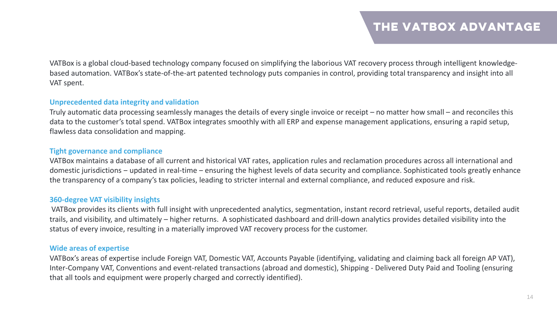VATBox is a global cloud-based technology company focused on simplifying the laborious VAT recovery process through intelligent knowledgebased automation. VATBox's state-of-the-art patented technology puts companies in control, providing total transparency and insight into all VAT spent.

## **Unprecedented data integrity and validation**

Truly automatic data processing seamlessly manages the details of every single invoice or receipt – no matter how small – and reconciles this data to the customer's total spend. VATBox integrates smoothly with all ERP and expense management applications, ensuring a rapid setup, flawless data consolidation and mapping.

# **Tight governance and compliance**

VATBox maintains a database of all current and historical VAT rates, application rules and reclamation procedures across all international and domestic jurisdictions – updated in real-time – ensuring the highest levels of data security and compliance. Sophisticated tools greatly enhance the transparency of a company's tax policies, leading to stricter internal and external compliance, and reduced exposure and risk.

# **360-degree VAT visibility insights**

VATBox provides its clients with full insight with unprecedented analytics, segmentation, instant record retrieval, useful reports, detailed audit trails, and visibility, and ultimately – higher returns. A sophisticated dashboard and drill-down analytics provides detailed visibility into the status of every invoice, resulting in a materially improved VAT recovery process for the customer.

## **Wide areas of expertise**

VATBox's areas of expertise include Foreign VAT, Domestic VAT, Accounts Payable (identifying, validating and claiming back all foreign AP VAT), Inter-Company VAT, Conventions and event-related transactions (abroad and domestic), Shipping - Delivered Duty Paid and Tooling (ensuring that all tools and equipment were properly charged and correctly identified).